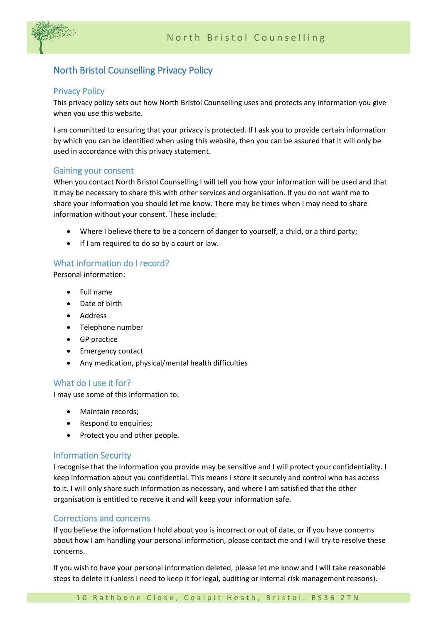

# North Bristol Counselling Privacy Policy

### Privacy Policy

This privacy policy sets out how North Bristol Counselling uses and protects any information you give when you use this website.

I am committed to ensuring that your privacy is protected. If I ask you to provide certain information by which you can be identified when using this website, then you can be assured that it will only be used in accordance with this privacy statement.

#### Gaining your consent

When you contact North Bristol Counselling I will tell you how your information will be used and that it may be necessary to share this with other services and organisation. If you do not want me to share your information you should let me know. There may be times when I may need to share information without your consent. These include:

- Where I believe there to be a concern of danger to yourself, a child, or a third party;
- If I am required to do so by a court or law.

## What information do I record?

Personal information:

- Full name
- Date of birth
- Address
- Telephone number
- GP practice
- Emergency contact
- Any medication, physical/mental health difficulties

## What do I use it for?

I may use some of this information to:

- Maintain records;
- Respond to enquiries;
- Protect you and other people.

#### Information Security

I recognise that the information you provide may be sensitive and I will protect your confidentiality. I keep information about you confidential. This means I store it securely and control who has access to it. I will only share such information as necessary, and where I am satisfied that the other organisation is entitled to receive it and will keep your information safe.

## Corrections and concerns

If you believe the information I hold about you is incorrect or out of date, or if you have concerns about how I am handling your personal information, please contact me and I will try to resolve these concerns.

If you wish to have your personal information deleted, please let me know and I will take reasonable steps to delete it (unless I need to keep it for legal, auditing or internal risk management reasons).